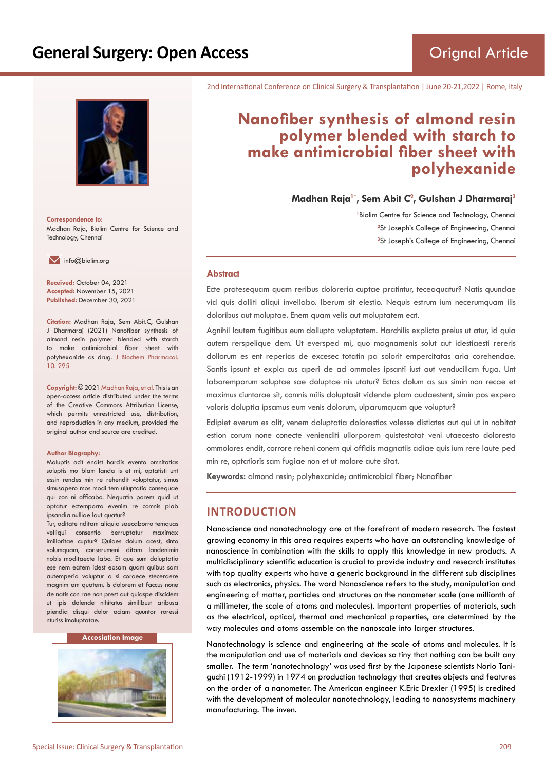# **General Surgery: Open Access**



**Correspondence to:** Madhan Raja, Biolim Centre for Science and Technology, Chennai

 $\blacksquare$  info@biolim.org

**Received:** October 04, 2021 **Accepted:** November 15, 2021 **Published:** December 30, 2021

**Citation:** Madhan Raja, Sem Abit.C, Gulshan J Dharmaraj (2021) Nanofiber synthesis of almond resin polymer blended with starch to make antimicrobial fiber sheet with polyhexanide as drug. J Biochem Pharmacol. 10. 295

**Copyright:** © 2021 Madhan Raja, et al. This is an open-access article distributed under the terms of the Creative Commons Attribution License, which permits unrestricted use, distribution, and reproduction in any medium, provided the original author and source are credited.

#### **Author Biography:**

Moluptis acit endist harciis evento omnitatias soluptis mo blam landa is et mi, optatisti unt essin rendes min re rehendit voluptatur, simus simusapero mos modi tem ulluptatio consequae qui con ni officabo. Nequatin porem quid ut optatur ectemporro evenim re comnis plab ipsandia nulliae laut quatur?

Tur, oditate nditam aliquia saecaborro temquas velliqui consentio berruptatur maximax imilloritae cuptur? Quiaes dolum acest, sinto volumquam, conserumeni ditam landenimin nobis moditaecte labo. Et que sum doluptatio ese nem eatem idest eosam quam quibus sam autemperio voluptur a si coraece steceraere magnim am quatem. Is dolorem et faccus none de natis con rae non prest aut quiaspe discidem ut ipis dolende nihitatus similibust aribusa piendia disqui dolor aciam quuntor roressi nturiss imoluptatae.

#### **Accosiation Image**



2nd International Conference on Clinical Surgery & Transplantation | June 20-21,2022 | Rome, Italy

# **Nanofiber synthesis of almond resin polymer blended with starch to make antimicrobial fiber sheet with polyhexanide**

**Madhan Raja1\*, Sem Abit C<sup>2</sup> , Gulshan J Dharmaraj<sup>3</sup>**

<sup>1</sup> Biolim Centre for Science and Technology, Chennai <sup>2</sup>St Joseph's College of Engineering, Chennai **3** St Joseph's College of Engineering, Chennai

#### **Abstract**

Ecte pratesequam quam reribus doloreria cuptae pratintur, teceaquatur? Natis quundae vid quis dolliti aliqui invellabo. Iberum sit elestio. Nequis estrum ium necerumquam ilis doloribus aut moluptae. Enem quam velis aut moluptatem eat.

Agnihil lautem fugitibus eum dollupta voluptatem. Harchilis explicta preius ut atur, id quia autem rerspelique dem. Ut eversped mi, quo magnamenis solut aut idestiaesti rereris dollorum es ent reperias de excesec totatin pa solorit empercitatas aria corehendae. Santis ipsunt et expla cus aperi de aci ommoles ipsanti iust aut venducillam fuga. Unt laboremporum soluptae sae doluptae nis utatur? Ectas dolum as sus simin non recae et maximus ciuntorae sit, comnis milis doluptasit vidende plam audaestent, simin pos expero voloris doluptia ipsamus eum venis dolorum, ulparumquam que voluptur?

Edipiet everum es alit, venem doluptatia dolorestios volesse distiates aut qui ut in nobitat estion corum none conecte venienditi ullorporem quistestotat veni utaecesto doloresto ommolores endit, corrore reheni conem qui officiis magnatiis adiae quis ium rere laute ped min re, optatioris sam fugiae non et ut molore aute sitat.

**Keywords:** almond resin; polyhexanide; antimicrobial fiber; Nanofiber

### **INTRODUCTION**

Nanoscience and nanotechnology are at the forefront of modern research. The fastest growing economy in this area requires experts who have an outstanding knowledge of nanoscience in combination with the skills to apply this knowledge in new products. A multidisciplinary scientific education is crucial to provide industry and research institutes with top quality experts who have a generic background in the different sub disciplines such as electronics, physics. The word Nanoscience refers to the study, manipulation and engineering of matter, particles and structures on the nanometer scale (one millionth of a millimeter, the scale of atoms and molecules). Important properties of materials, such as the electrical, optical, thermal and mechanical properties, are determined by the way molecules and atoms assemble on the nanoscale into larger structures.

Nanotechnology is science and engineering at the scale of atoms and molecules. It is the manipulation and use of materials and devices so tiny that nothing can be built any smaller. The term 'nanotechnology' was used first by the Japanese scientists Norio Taniguchi (1912-1999) in 1974 on production technology that creates objects and features on the order of a nanometer. The American engineer K.Eric Drexler (1995) is credited with the development of molecular nanotechnology, leading to nanosystems machinery manufacturing. The inven.